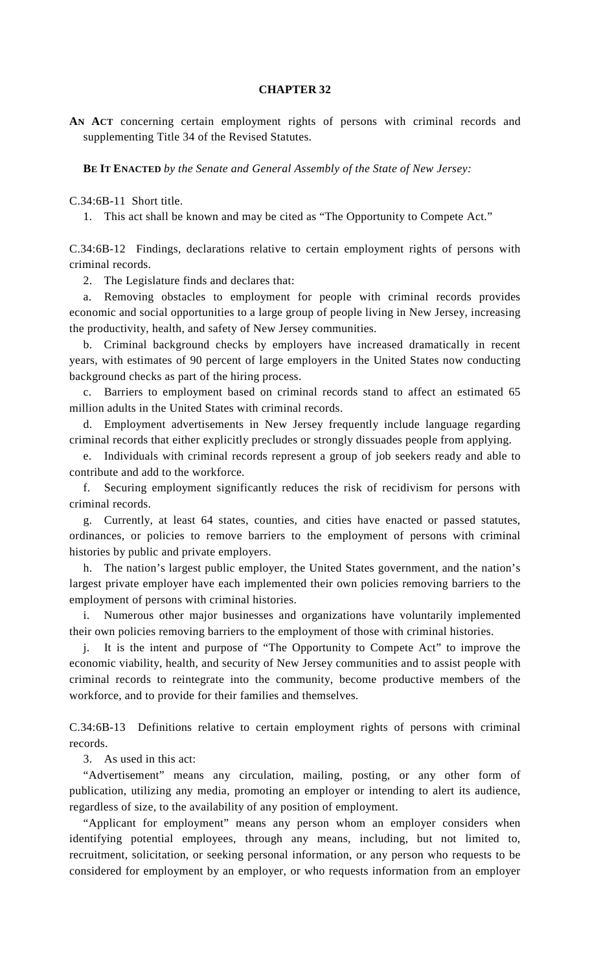## **CHAPTER 32**

**AN ACT** concerning certain employment rights of persons with criminal records and supplementing Title 34 of the Revised Statutes.

 **BE IT ENACTED** *by the Senate and General Assembly of the State of New Jersey:* 

C.34:6B-11 Short title.

1. This act shall be known and may be cited as "The Opportunity to Compete Act."

C.34:6B-12 Findings, declarations relative to certain employment rights of persons with criminal records.

2. The Legislature finds and declares that:

 a. Removing obstacles to employment for people with criminal records provides economic and social opportunities to a large group of people living in New Jersey, increasing the productivity, health, and safety of New Jersey communities.

 b. Criminal background checks by employers have increased dramatically in recent years, with estimates of 90 percent of large employers in the United States now conducting background checks as part of the hiring process.

 c. Barriers to employment based on criminal records stand to affect an estimated 65 million adults in the United States with criminal records.

 d. Employment advertisements in New Jersey frequently include language regarding criminal records that either explicitly precludes or strongly dissuades people from applying.

 e. Individuals with criminal records represent a group of job seekers ready and able to contribute and add to the workforce.

 f. Securing employment significantly reduces the risk of recidivism for persons with criminal records.

 g. Currently, at least 64 states, counties, and cities have enacted or passed statutes, ordinances, or policies to remove barriers to the employment of persons with criminal histories by public and private employers.

 h. The nation's largest public employer, the United States government, and the nation's largest private employer have each implemented their own policies removing barriers to the employment of persons with criminal histories.

 i. Numerous other major businesses and organizations have voluntarily implemented their own policies removing barriers to the employment of those with criminal histories.

 j. It is the intent and purpose of "The Opportunity to Compete Act" to improve the economic viability, health, and security of New Jersey communities and to assist people with criminal records to reintegrate into the community, become productive members of the workforce, and to provide for their families and themselves.

C.34:6B-13 Definitions relative to certain employment rights of persons with criminal records.

3. As used in this act:

 "Advertisement" means any circulation, mailing, posting, or any other form of publication, utilizing any media, promoting an employer or intending to alert its audience, regardless of size, to the availability of any position of employment.

 "Applicant for employment" means any person whom an employer considers when identifying potential employees, through any means, including, but not limited to, recruitment, solicitation, or seeking personal information, or any person who requests to be considered for employment by an employer, or who requests information from an employer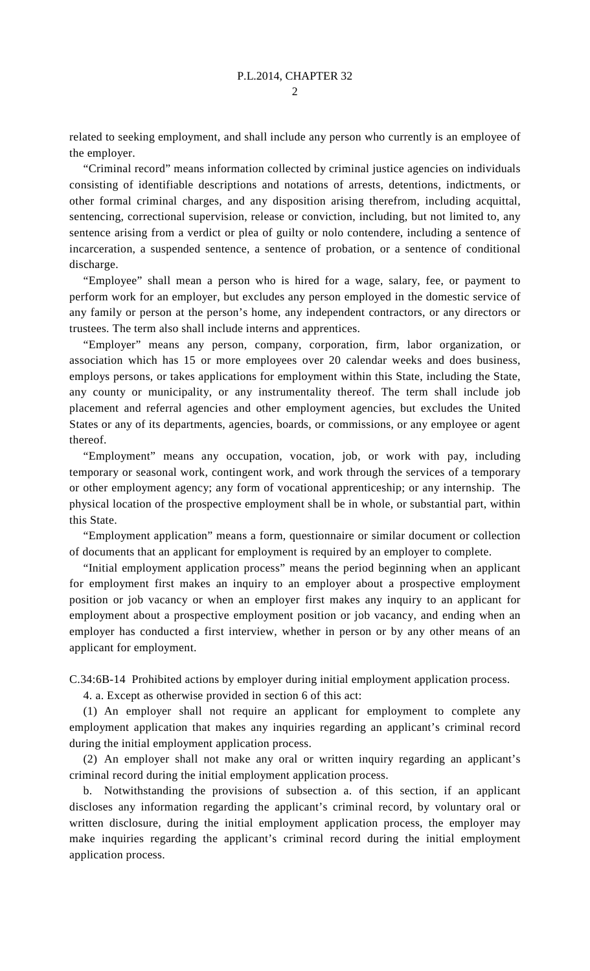related to seeking employment, and shall include any person who currently is an employee of the employer.

 "Criminal record" means information collected by criminal justice agencies on individuals consisting of identifiable descriptions and notations of arrests, detentions, indictments, or other formal criminal charges, and any disposition arising therefrom, including acquittal, sentencing, correctional supervision, release or conviction, including, but not limited to, any sentence arising from a verdict or plea of guilty or nolo contendere, including a sentence of incarceration, a suspended sentence, a sentence of probation, or a sentence of conditional discharge.

 "Employee" shall mean a person who is hired for a wage, salary, fee, or payment to perform work for an employer, but excludes any person employed in the domestic service of any family or person at the person's home, any independent contractors, or any directors or trustees. The term also shall include interns and apprentices.

 "Employer" means any person, company, corporation, firm, labor organization, or association which has 15 or more employees over 20 calendar weeks and does business, employs persons, or takes applications for employment within this State, including the State, any county or municipality, or any instrumentality thereof. The term shall include job placement and referral agencies and other employment agencies, but excludes the United States or any of its departments, agencies, boards, or commissions, or any employee or agent thereof.

 "Employment" means any occupation, vocation, job, or work with pay, including temporary or seasonal work, contingent work, and work through the services of a temporary or other employment agency; any form of vocational apprenticeship; or any internship. The physical location of the prospective employment shall be in whole, or substantial part, within this State.

 "Employment application" means a form, questionnaire or similar document or collection of documents that an applicant for employment is required by an employer to complete.

 "Initial employment application process" means the period beginning when an applicant for employment first makes an inquiry to an employer about a prospective employment position or job vacancy or when an employer first makes any inquiry to an applicant for employment about a prospective employment position or job vacancy, and ending when an employer has conducted a first interview, whether in person or by any other means of an applicant for employment.

C.34:6B-14 Prohibited actions by employer during initial employment application process.

4. a. Except as otherwise provided in section 6 of this act:

 (1) An employer shall not require an applicant for employment to complete any employment application that makes any inquiries regarding an applicant's criminal record during the initial employment application process.

 (2) An employer shall not make any oral or written inquiry regarding an applicant's criminal record during the initial employment application process.

 b. Notwithstanding the provisions of subsection a. of this section, if an applicant discloses any information regarding the applicant's criminal record, by voluntary oral or written disclosure, during the initial employment application process, the employer may make inquiries regarding the applicant's criminal record during the initial employment application process.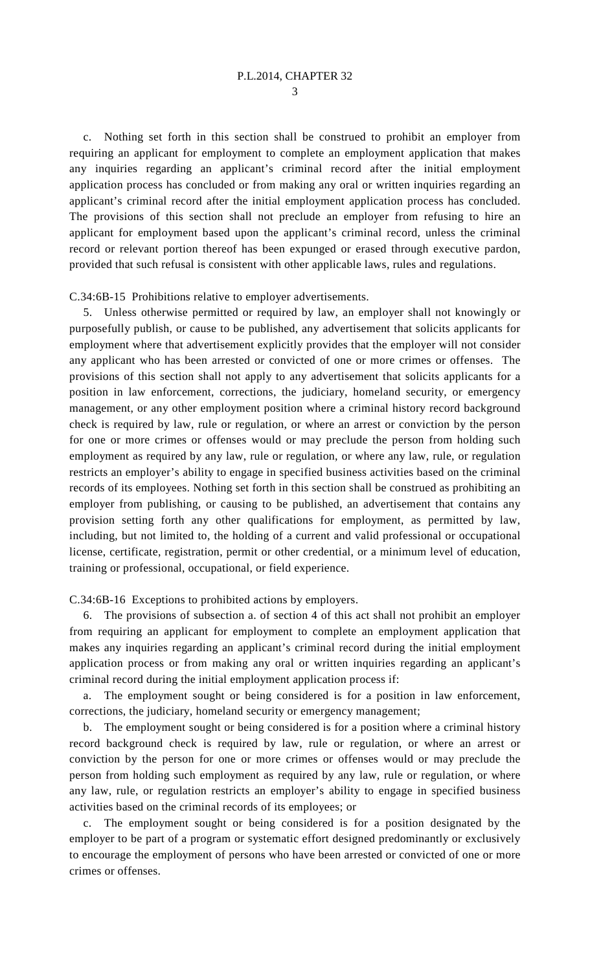3

 c. Nothing set forth in this section shall be construed to prohibit an employer from requiring an applicant for employment to complete an employment application that makes any inquiries regarding an applicant's criminal record after the initial employment application process has concluded or from making any oral or written inquiries regarding an applicant's criminal record after the initial employment application process has concluded. The provisions of this section shall not preclude an employer from refusing to hire an applicant for employment based upon the applicant's criminal record, unless the criminal record or relevant portion thereof has been expunged or erased through executive pardon, provided that such refusal is consistent with other applicable laws, rules and regulations.

C.34:6B-15 Prohibitions relative to employer advertisements.

 5. Unless otherwise permitted or required by law, an employer shall not knowingly or purposefully publish, or cause to be published, any advertisement that solicits applicants for employment where that advertisement explicitly provides that the employer will not consider any applicant who has been arrested or convicted of one or more crimes or offenses. The provisions of this section shall not apply to any advertisement that solicits applicants for a position in law enforcement, corrections, the judiciary, homeland security, or emergency management, or any other employment position where a criminal history record background check is required by law, rule or regulation, or where an arrest or conviction by the person for one or more crimes or offenses would or may preclude the person from holding such employment as required by any law, rule or regulation, or where any law, rule, or regulation restricts an employer's ability to engage in specified business activities based on the criminal records of its employees. Nothing set forth in this section shall be construed as prohibiting an employer from publishing, or causing to be published, an advertisement that contains any provision setting forth any other qualifications for employment, as permitted by law, including, but not limited to, the holding of a current and valid professional or occupational license, certificate, registration, permit or other credential, or a minimum level of education, training or professional, occupational, or field experience.

C.34:6B-16 Exceptions to prohibited actions by employers.

6. The provisions of subsection a. of section 4 of this act shall not prohibit an employer from requiring an applicant for employment to complete an employment application that makes any inquiries regarding an applicant's criminal record during the initial employment application process or from making any oral or written inquiries regarding an applicant's criminal record during the initial employment application process if:

 a. The employment sought or being considered is for a position in law enforcement, corrections, the judiciary, homeland security or emergency management;

 b. The employment sought or being considered is for a position where a criminal history record background check is required by law, rule or regulation, or where an arrest or conviction by the person for one or more crimes or offenses would or may preclude the person from holding such employment as required by any law, rule or regulation, or where any law, rule, or regulation restricts an employer's ability to engage in specified business activities based on the criminal records of its employees; or

 c. The employment sought or being considered is for a position designated by the employer to be part of a program or systematic effort designed predominantly or exclusively to encourage the employment of persons who have been arrested or convicted of one or more crimes or offenses.